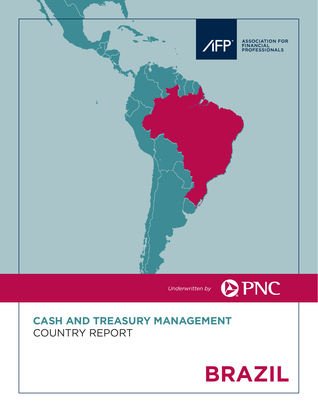



# **CASH AND TREASURY MANAGEMENT** COUNTRY REPORT

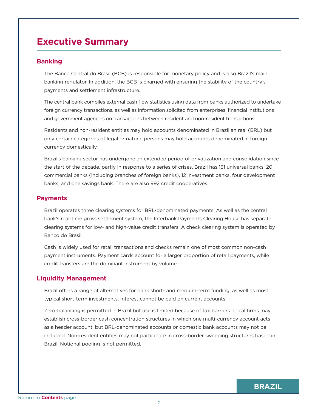## **Executive Summary**

## **Banking**

The Banco Central do Brasil (BCB) is responsible for monetary policy and is also Brazil's main banking regulator. In addition, the BCB is charged with ensuring the stability of the country's payments and settlement infrastructure.

The central bank compiles external cash flow statistics using data from banks authorized to undertake foreign currency transactions, as well as information solicited from enterprises, financial institutions and government agencies on transactions between resident and non-resident transactions.

Residents and non-resident entities may hold accounts denominated in Brazilian real (BRL) but only certain categories of legal or natural persons may hold accounts denominated in foreign currency domestically.

Brazil's banking sector has undergone an extended period of privatization and consolidation since the start of the decade, partly in response to a series of crises. Brazil has 131 universal banks, 20 commercial banks (including branches of foreign banks), 12 investment banks, four development banks, and one savings bank. There are also 992 credit cooperatives.

## **Payments**

Brazil operates three clearing systems for BRL-denominated payments. As well as the central bank's real-time gross settlement system, the Interbank Payments Clearing House has separate clearing systems for low- and high-value credit transfers. A check clearing system is operated by Banco do Brasil.

Cash is widely used for retail transactions and checks remain one of most common non-cash payment instruments. Payment cards account for a larger proportion of retail payments, while credit transfers are the dominant instrument by volume.

## **Liquidity Management**

Brazil offers a range of alternatives for bank short- and medium-term funding, as well as most typical short-term investments. Interest cannot be paid on current accounts.

Zero-balancing is permitted in Brazil but use is limited because of tax barriers. Local firms may establish cross-border cash concentration structures in which one multi-currency account acts as a header account, but BRL-denominated accounts or domestic bank accounts may not be included. Non-resident entities may not participate in cross-border sweeping structures based in Brazil. Notional pooling is not permitted.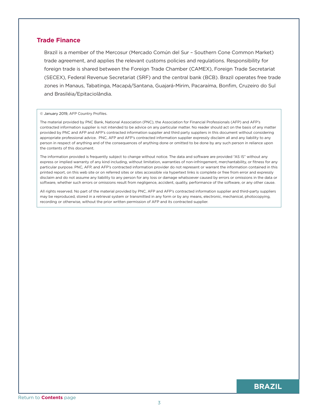## **Trade Finance**

Brazil is a member of the Mercosur (Mercado Común del Sur – Southern Cone Common Market) trade agreement, and applies the relevant customs policies and regulations. Responsibility for foreign trade is shared between the Foreign Trade Chamber (CAMEX), Foreign Trade Secretariat (SECEX), Federal Revenue Secretariat (SRF) and the central bank (BCB). Brazil operates free trade zones in Manaus, Tabatinga, Macapá/Santana, Guajará-Mirim, Pacaraíma, Bonfim, Cruzeiro do Sul and Brasiléia/Epitaciolândia.

#### © January 2019, AFP Country Profiles.

The material provided by PNC Bank, National Association (PNC), the Association for Financial Professionals (AFP) and AFP's contracted information supplier is not intended to be advice on any particular matter. No reader should act on the basis of any matter provided by PNC and AFP and AFP's contracted information supplier and third party suppliers in this document without considering appropriate professional advice. PNC, AFP and AFP's contracted information supplier expressly disclaim all and any liability to any person in respect of anything and of the consequences of anything done or omitted to be done by any such person in reliance upon the contents of this document.

The information provided is frequently subject to change without notice. The data and software are provided "AS IS" without any express or implied warranty of any kind including, without limitation, warranties of non-infringement, merchantability, or fitness for any particular purpose. PNC, AFP, and AFP's contracted information provider do not represent or warrant the information contained in this printed report, on this web site or on referred sites or sites accessible via hypertext links is complete or free from error and expressly disclaim and do not assume any liability to any person for any loss or damage whatsoever caused by errors or omissions in the data or software, whether such errors or omissions result from negligence, accident, quality, performance of the software, or any other cause.

All rights reserved. No part of the material provided by PNC, AFP and AFP's contracted information supplier and third-party suppliers may be reproduced, stored in a retrieval system or transmitted in any form or by any means, electronic, mechanical, photocopying, recording or otherwise, without the prior written permission of AFP and its contracted supplier.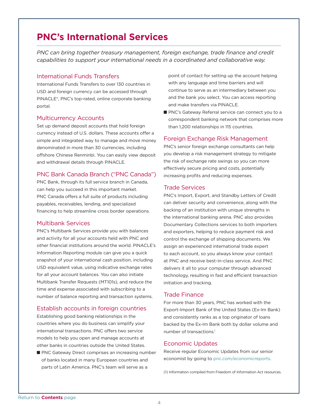## **PNC's International Services**

*PNC can bring together treasury management, foreign exchange, trade finance and credit capabilities to support your international needs in a coordinated and collaborative way.*

#### International Funds Transfers

International Funds Transfers to over 130 countries in USD and foreign currency can be accessed through PINACLE®, PNC's top-rated, online corporate banking portal.

#### Multicurrency Accounts

Set up demand deposit accounts that hold foreign currency instead of U.S. dollars. These accounts offer a simple and integrated way to manage and move money denominated in more than 30 currencies, including offshore Chinese Renminbi. You can easily view deposit and withdrawal details through PINACLE.

#### PNC Bank Canada Branch ("PNC Canada")

PNC Bank, through its full service branch in Canada, can help you succeed in this important market. PNC Canada offers a full suite of products including payables, receivables, lending, and specialized financing to help streamline cross border operations.

## Multibank Services

PNC's Multibank Services provide you with balances and activity for all your accounts held with PNC and other financial institutions around the world. PINACLE's Information Reporting module can give you a quick snapshot of your international cash position, including USD equivalent value, using indicative exchange rates for all your account balances. You can also initiate Multibank Transfer Requests (MT101s), and reduce the time and expense associated with subscribing to a number of balance reporting and transaction systems.

## Establish accounts in foreign countries

Establishing good banking relationships in the countries where you do business can simplify your international transactions. PNC offers two service models to help you open and manage accounts at other banks in countries outside the United States.

PNC Gateway Direct comprises an increasing number of banks located in many European countries and parts of Latin America. PNC's team will serve as a

point of contact for setting up the account helping with any language and time barriers and will continue to serve as an intermediary between you and the bank you select. You can access reporting and make transfers via PINACLE.

PNC's Gateway Referral service can connect you to a correspondent banking network that comprises more than 1,200 relationships in 115 countries.

#### Foreign Exchange Risk Management

PNC's senior foreign exchange consultants can help you develop a risk management strategy to mitigate the risk of exchange rate swings so you can more effectively secure pricing and costs, potentially increasing profits and reducing expenses.

#### Trade Services

PNC's Import, Export, and Standby Letters of Credit can deliver security and convenience, along with the backing of an institution with unique strengths in the international banking arena. PNC also provides Documentary Collections services to both importers and exporters, helping to reduce payment risk and control the exchange of shipping documents. We assign an experienced international trade expert to each account, so you always know your contact at PNC and receive best-in-class service. And PNC delivers it all to your computer through advanced technology, resulting in fast and efficient transaction initiation and tracking.

#### Trade Finance

For more than 30 years, PNC has worked with the Export-Import Bank of the United States (Ex-Im Bank) and consistently ranks as a top originator of loans backed by the Ex-Im Bank both by dollar volume and number of transactions.1

### Economic Updates

Receive regular Economic Updates from our senior economist by going to pnc.com/economicreports.

(1) Information compiled from Freedom of Information Act resources.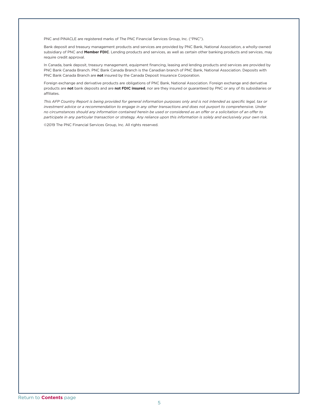PNC and PINACLE are registered marks of The PNC Financial Services Group, Inc. ("PNC").

Bank deposit and treasury management products and services are provided by PNC Bank, National Association, a wholly-owned subsidiary of PNC and **Member FDIC**. Lending products and services, as well as certain other banking products and services, may require credit approval.

In Canada, bank deposit, treasury management, equipment financing, leasing and lending products and services are provided by PNC Bank Canada Branch. PNC Bank Canada Branch is the Canadian branch of PNC Bank, National Association. Deposits with PNC Bank Canada Branch are **not** insured by the Canada Deposit Insurance Corporation.

Foreign exchange and derivative products are obligations of PNC Bank, National Association. Foreign exchange and derivative products are **not** bank deposits and are **not FDIC insured**, nor are they insured or guaranteed by PNC or any of its subsidiaries or affiliates.

*This AFP Country Report is being provided for general information purposes only and is not intended as specific legal, tax or investment advice or a recommendation to engage in any other transactions and does not purport to comprehensive. Under no circumstances should any information contained herein be used or considered as an offer or a solicitation of an offer to participate in any particular transaction or strategy. Any reliance upon this information is solely and exclusively your own risk.*

©2019 The PNC Financial Services Group, Inc. All rights reserved.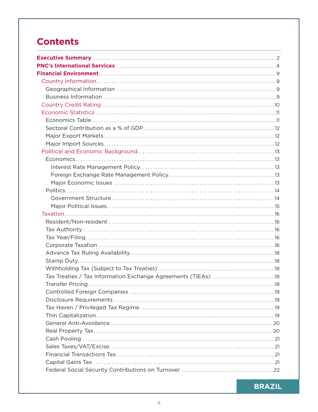# **Contents**

| Tax Treaties / Tax Information Exchange Agreements (TIEAs)  18 |  |
|----------------------------------------------------------------|--|
|                                                                |  |
|                                                                |  |
|                                                                |  |
|                                                                |  |
|                                                                |  |
|                                                                |  |
|                                                                |  |
|                                                                |  |
|                                                                |  |
|                                                                |  |
|                                                                |  |
|                                                                |  |

**BRAZIL**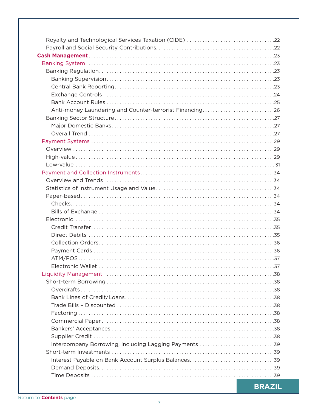| Anti-money Laundering and Counter-terrorist Financing 26 |  |
|----------------------------------------------------------|--|
|                                                          |  |
|                                                          |  |
|                                                          |  |
|                                                          |  |
|                                                          |  |
|                                                          |  |
|                                                          |  |
|                                                          |  |
|                                                          |  |
|                                                          |  |
|                                                          |  |
|                                                          |  |
|                                                          |  |
|                                                          |  |
|                                                          |  |
|                                                          |  |
|                                                          |  |
|                                                          |  |
|                                                          |  |
|                                                          |  |
|                                                          |  |
|                                                          |  |
|                                                          |  |
|                                                          |  |
|                                                          |  |
|                                                          |  |
|                                                          |  |
|                                                          |  |
| Intercompany Borrowing, including Lagging Payments  39   |  |
|                                                          |  |
|                                                          |  |
|                                                          |  |
|                                                          |  |